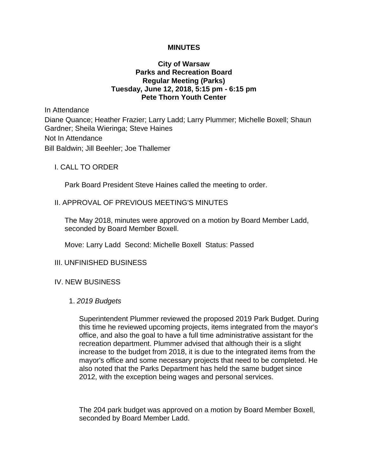## **MINUTES**

## **City of Warsaw Parks and Recreation Board Regular Meeting (Parks) Tuesday, June 12, 2018, 5:15 pm - 6:15 pm Pete Thorn Youth Center**

In Attendance

Diane Quance; Heather Frazier; Larry Ladd; Larry Plummer; Michelle Boxell; Shaun Gardner; Sheila Wieringa; Steve Haines

Not In Attendance

Bill Baldwin; Jill Beehler; Joe Thallemer

I. CALL TO ORDER

Park Board President Steve Haines called the meeting to order.

## II. APPROVAL OF PREVIOUS MEETING'S MINUTES

The May 2018, minutes were approved on a motion by Board Member Ladd, seconded by Board Member Boxell.

Move: Larry Ladd Second: Michelle Boxell Status: Passed

## III. UNFINISHED BUSINESS

#### IV. NEW BUSINESS

#### 1. *2019 Budgets*

Superintendent Plummer reviewed the proposed 2019 Park Budget. During this time he reviewed upcoming projects, items integrated from the mayor's office, and also the goal to have a full time administrative assistant for the recreation department. Plummer advised that although their is a slight increase to the budget from 2018, it is due to the integrated items from the mayor's office and some necessary projects that need to be completed. He also noted that the Parks Department has held the same budget since 2012, with the exception being wages and personal services.

The 204 park budget was approved on a motion by Board Member Boxell, seconded by Board Member Ladd.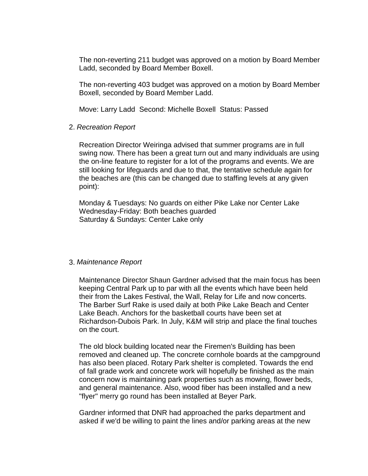The non-reverting 211 budget was approved on a motion by Board Member Ladd, seconded by Board Member Boxell.

The non-reverting 403 budget was approved on a motion by Board Member Boxell, seconded by Board Member Ladd.

Move: Larry Ladd Second: Michelle Boxell Status: Passed

## 2. *Recreation Report*

Recreation Director Weiringa advised that summer programs are in full swing now. There has been a great turn out and many individuals are using the on-line feature to register for a lot of the programs and events. We are still looking for lifeguards and due to that, the tentative schedule again for the beaches are (this can be changed due to staffing levels at any given point):

Monday & Tuesdays: No guards on either Pike Lake nor Center Lake Wednesday-Friday: Both beaches guarded Saturday & Sundays: Center Lake only

#### 3. *Maintenance Report*

Maintenance Director Shaun Gardner advised that the main focus has been keeping Central Park up to par with all the events which have been held their from the Lakes Festival, the Wall, Relay for Life and now concerts. The Barber Surf Rake is used daily at both Pike Lake Beach and Center Lake Beach. Anchors for the basketball courts have been set at Richardson-Dubois Park. In July, K&M will strip and place the final touches on the court.

The old block building located near the Firemen's Building has been removed and cleaned up. The concrete cornhole boards at the campground has also been placed. Rotary Park shelter is completed. Towards the end of fall grade work and concrete work will hopefully be finished as the main concern now is maintaining park properties such as mowing, flower beds, and general maintenance. Also, wood fiber has been installed and a new "flyer" merry go round has been installed at Beyer Park.

Gardner informed that DNR had approached the parks department and asked if we'd be willing to paint the lines and/or parking areas at the new